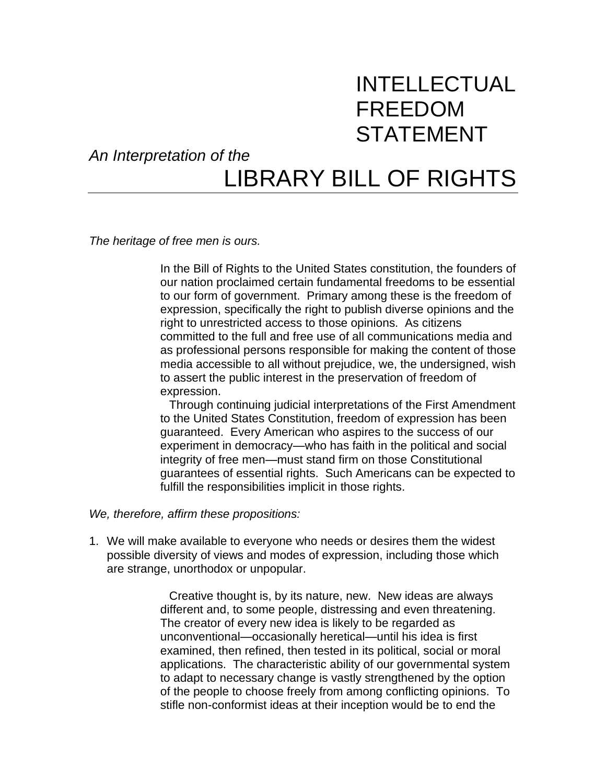## INTELLECTUAL FREEDOM STATEMENT

*An Interpretation of the*

## LIBRARY BILL OF RIGHTS

*The heritage of free men is ours.*

In the Bill of Rights to the United States constitution, the founders of our nation proclaimed certain fundamental freedoms to be essential to our form of government. Primary among these is the freedom of expression, specifically the right to publish diverse opinions and the right to unrestricted access to those opinions. As citizens committed to the full and free use of all communications media and as professional persons responsible for making the content of those media accessible to all without prejudice, we, the undersigned, wish to assert the public interest in the preservation of freedom of expression.

Through continuing judicial interpretations of the First Amendment to the United States Constitution, freedom of expression has been guaranteed. Every American who aspires to the success of our experiment in democracy—who has faith in the political and social integrity of free men—must stand firm on those Constitutional guarantees of essential rights. Such Americans can be expected to fulfill the responsibilities implicit in those rights.

*We, therefore, affirm these propositions:*

1. We will make available to everyone who needs or desires them the widest possible diversity of views and modes of expression, including those which are strange, unorthodox or unpopular.

> Creative thought is, by its nature, new. New ideas are always different and, to some people, distressing and even threatening. The creator of every new idea is likely to be regarded as unconventional—occasionally heretical—until his idea is first examined, then refined, then tested in its political, social or moral applications. The characteristic ability of our governmental system to adapt to necessary change is vastly strengthened by the option of the people to choose freely from among conflicting opinions. To stifle non-conformist ideas at their inception would be to end the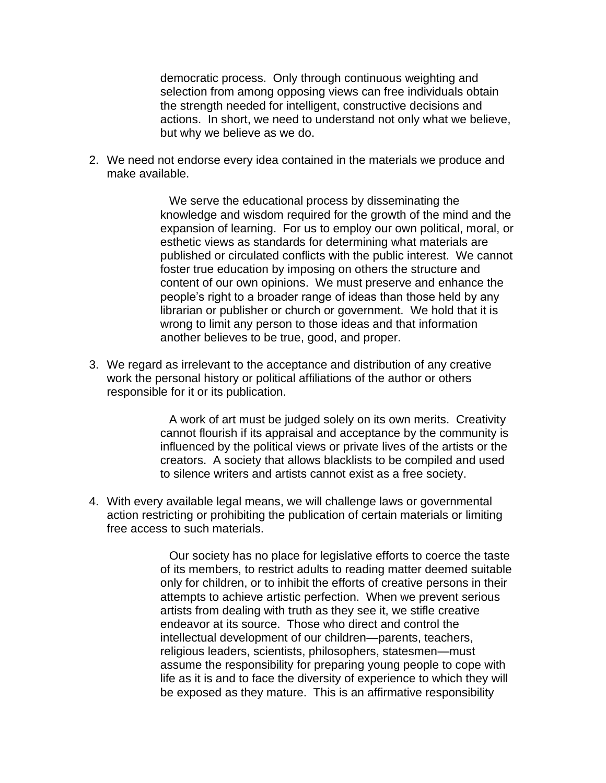democratic process. Only through continuous weighting and selection from among opposing views can free individuals obtain the strength needed for intelligent, constructive decisions and actions. In short, we need to understand not only what we believe, but why we believe as we do.

2. We need not endorse every idea contained in the materials we produce and make available.

> We serve the educational process by disseminating the knowledge and wisdom required for the growth of the mind and the expansion of learning. For us to employ our own political, moral, or esthetic views as standards for determining what materials are published or circulated conflicts with the public interest. We cannot foster true education by imposing on others the structure and content of our own opinions. We must preserve and enhance the people's right to a broader range of ideas than those held by any librarian or publisher or church or government. We hold that it is wrong to limit any person to those ideas and that information another believes to be true, good, and proper.

3. We regard as irrelevant to the acceptance and distribution of any creative work the personal history or political affiliations of the author or others responsible for it or its publication.

> A work of art must be judged solely on its own merits. Creativity cannot flourish if its appraisal and acceptance by the community is influenced by the political views or private lives of the artists or the creators. A society that allows blacklists to be compiled and used to silence writers and artists cannot exist as a free society.

4. With every available legal means, we will challenge laws or governmental action restricting or prohibiting the publication of certain materials or limiting free access to such materials.

> Our society has no place for legislative efforts to coerce the taste of its members, to restrict adults to reading matter deemed suitable only for children, or to inhibit the efforts of creative persons in their attempts to achieve artistic perfection. When we prevent serious artists from dealing with truth as they see it, we stifle creative endeavor at its source. Those who direct and control the intellectual development of our children—parents, teachers, religious leaders, scientists, philosophers, statesmen—must assume the responsibility for preparing young people to cope with life as it is and to face the diversity of experience to which they will be exposed as they mature. This is an affirmative responsibility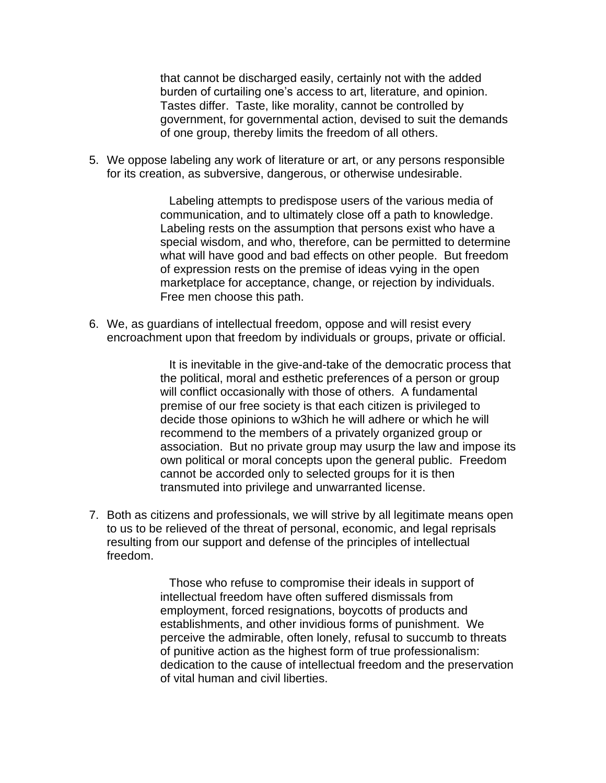that cannot be discharged easily, certainly not with the added burden of curtailing one's access to art, literature, and opinion. Tastes differ. Taste, like morality, cannot be controlled by government, for governmental action, devised to suit the demands of one group, thereby limits the freedom of all others.

5. We oppose labeling any work of literature or art, or any persons responsible for its creation, as subversive, dangerous, or otherwise undesirable.

> Labeling attempts to predispose users of the various media of communication, and to ultimately close off a path to knowledge. Labeling rests on the assumption that persons exist who have a special wisdom, and who, therefore, can be permitted to determine what will have good and bad effects on other people. But freedom of expression rests on the premise of ideas vying in the open marketplace for acceptance, change, or rejection by individuals. Free men choose this path.

6. We, as guardians of intellectual freedom, oppose and will resist every encroachment upon that freedom by individuals or groups, private or official.

> It is inevitable in the give-and-take of the democratic process that the political, moral and esthetic preferences of a person or group will conflict occasionally with those of others. A fundamental premise of our free society is that each citizen is privileged to decide those opinions to w3hich he will adhere or which he will recommend to the members of a privately organized group or association. But no private group may usurp the law and impose its own political or moral concepts upon the general public. Freedom cannot be accorded only to selected groups for it is then transmuted into privilege and unwarranted license.

7. Both as citizens and professionals, we will strive by all legitimate means open to us to be relieved of the threat of personal, economic, and legal reprisals resulting from our support and defense of the principles of intellectual freedom.

> Those who refuse to compromise their ideals in support of intellectual freedom have often suffered dismissals from employment, forced resignations, boycotts of products and establishments, and other invidious forms of punishment. We perceive the admirable, often lonely, refusal to succumb to threats of punitive action as the highest form of true professionalism: dedication to the cause of intellectual freedom and the preservation of vital human and civil liberties.